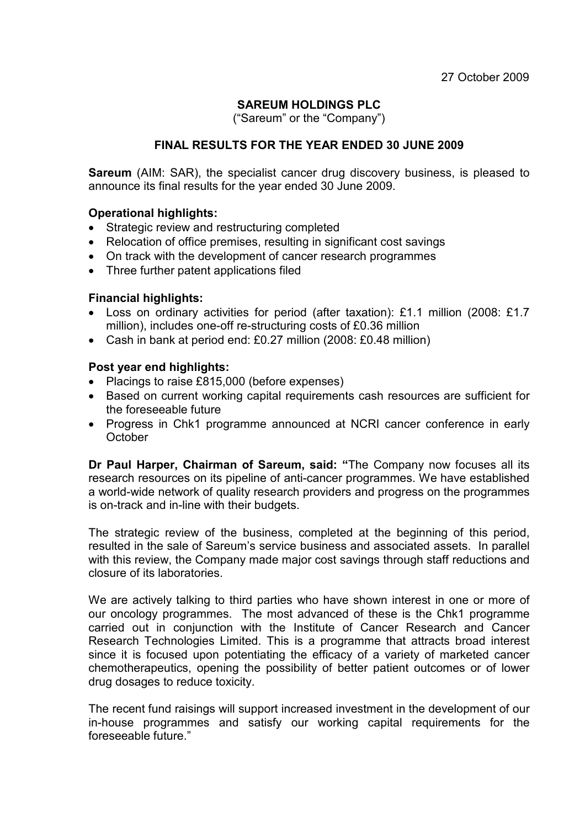### SAREUM HOLDINGS PLC

("Sareum" or the "Company")

### FINAL RESULTS FOR THE YEAR ENDED 30 JUNE 2009

**Sareum** (AIM: SAR), the specialist cancer drug discovery business, is pleased to announce its final results for the year ended 30 June 2009.

#### Operational highlights:

- Strategic review and restructuring completed
- Relocation of office premises, resulting in significant cost savings
- On track with the development of cancer research programmes
- Three further patent applications filed

#### Financial highlights:

- Loss on ordinary activities for period (after taxation): £1.1 million (2008: £1.7 million), includes one-off re-structuring costs of £0.36 million
- Cash in bank at period end: £0.27 million (2008: £0.48 million)

#### Post year end highlights:

- Placings to raise £815,000 (before expenses)
- Based on current working capital requirements cash resources are sufficient for the foreseeable future
- Progress in Chk1 programme announced at NCRI cancer conference in early **October**

Dr Paul Harper, Chairman of Sareum, said: "The Company now focuses all its research resources on its pipeline of anti-cancer programmes. We have established a world-wide network of quality research providers and progress on the programmes is on-track and in-line with their budgets.

The strategic review of the business, completed at the beginning of this period, resulted in the sale of Sareum's service business and associated assets. In parallel with this review, the Company made major cost savings through staff reductions and closure of its laboratories.

We are actively talking to third parties who have shown interest in one or more of our oncology programmes. The most advanced of these is the Chk1 programme carried out in conjunction with the Institute of Cancer Research and Cancer Research Technologies Limited. This is a programme that attracts broad interest since it is focused upon potentiating the efficacy of a variety of marketed cancer chemotherapeutics, opening the possibility of better patient outcomes or of lower drug dosages to reduce toxicity.

The recent fund raisings will support increased investment in the development of our in-house programmes and satisfy our working capital requirements for the foreseeable future."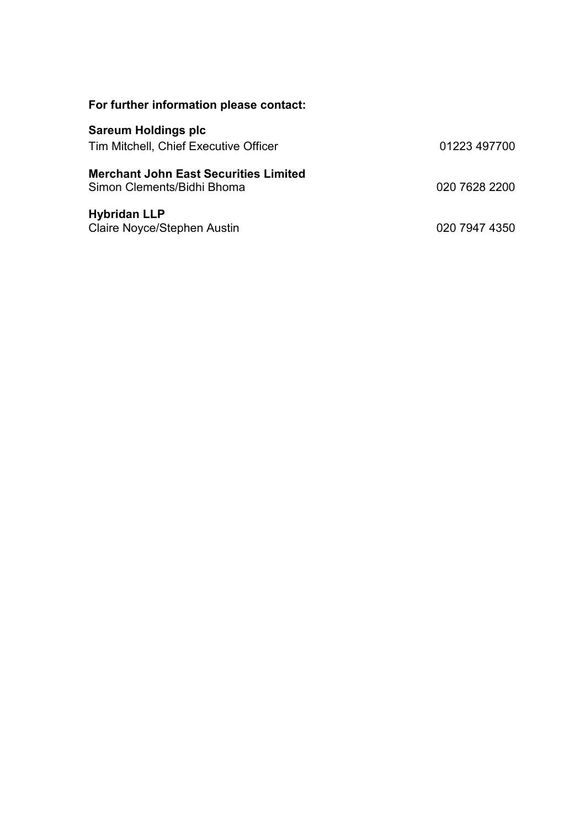| For further information please contact:                                    |               |
|----------------------------------------------------------------------------|---------------|
| <b>Sareum Holdings plc</b><br>Tim Mitchell, Chief Executive Officer        | 01223 497700  |
| <b>Merchant John East Securities Limited</b><br>Simon Clements/Bidhi Bhoma | 020 7628 2200 |
| <b>Hybridan LLP</b><br><b>Claire Noyce/Stephen Austin</b>                  | 020 7947 4350 |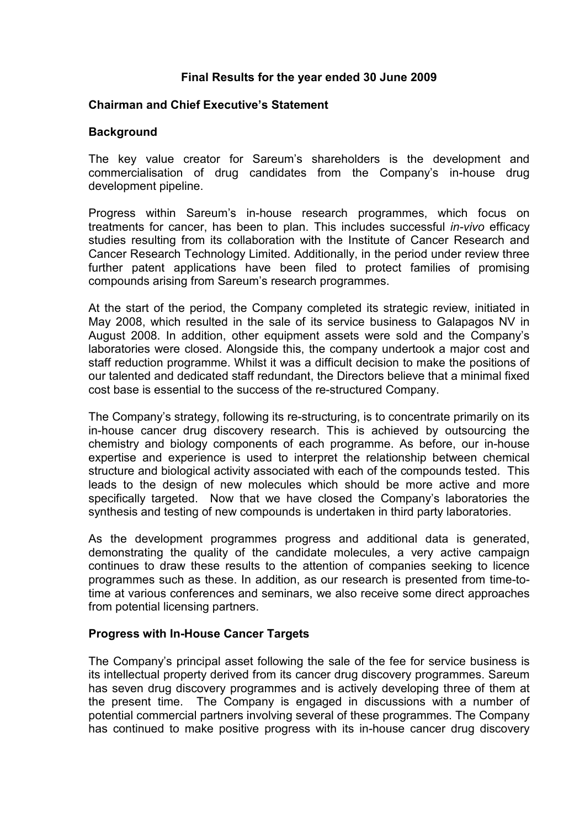#### Final Results for the year ended 30 June 2009

#### Chairman and Chief Executive's Statement

#### **Background**

The key value creator for Sareum's shareholders is the development and commercialisation of drug candidates from the Company's in-house drug development pipeline.

Progress within Sareum's in-house research programmes, which focus on treatments for cancer, has been to plan. This includes successful in-vivo efficacy studies resulting from its collaboration with the Institute of Cancer Research and Cancer Research Technology Limited. Additionally, in the period under review three further patent applications have been filed to protect families of promising compounds arising from Sareum's research programmes.

At the start of the period, the Company completed its strategic review, initiated in May 2008, which resulted in the sale of its service business to Galapagos NV in August 2008. In addition, other equipment assets were sold and the Company's laboratories were closed. Alongside this, the company undertook a major cost and staff reduction programme. Whilst it was a difficult decision to make the positions of our talented and dedicated staff redundant, the Directors believe that a minimal fixed cost base is essential to the success of the re-structured Company.

The Company's strategy, following its re-structuring, is to concentrate primarily on its in-house cancer drug discovery research. This is achieved by outsourcing the chemistry and biology components of each programme. As before, our in-house expertise and experience is used to interpret the relationship between chemical structure and biological activity associated with each of the compounds tested. This leads to the design of new molecules which should be more active and more specifically targeted. Now that we have closed the Company's laboratories the synthesis and testing of new compounds is undertaken in third party laboratories.

As the development programmes progress and additional data is generated, demonstrating the quality of the candidate molecules, a very active campaign continues to draw these results to the attention of companies seeking to licence programmes such as these. In addition, as our research is presented from time-totime at various conferences and seminars, we also receive some direct approaches from potential licensing partners.

#### Progress with In-House Cancer Targets

The Company's principal asset following the sale of the fee for service business is its intellectual property derived from its cancer drug discovery programmes. Sareum has seven drug discovery programmes and is actively developing three of them at the present time. The Company is engaged in discussions with a number of potential commercial partners involving several of these programmes. The Company has continued to make positive progress with its in-house cancer drug discovery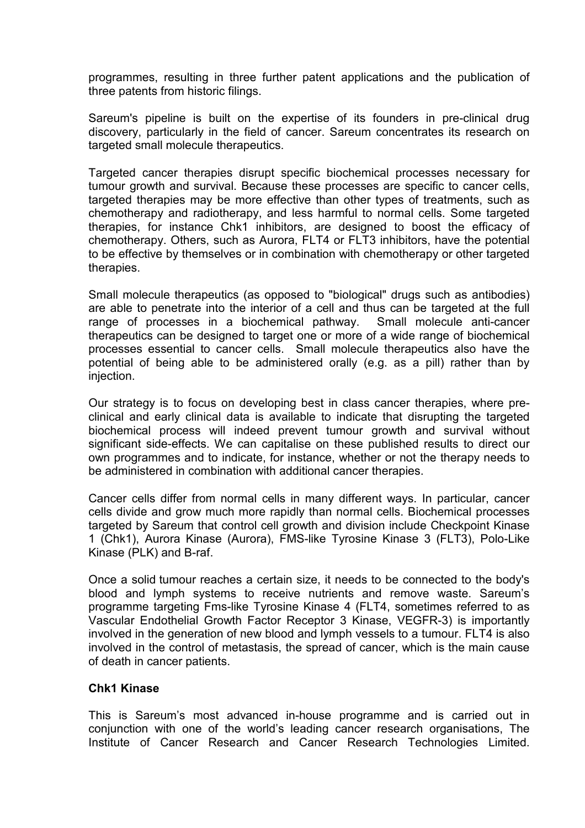programmes, resulting in three further patent applications and the publication of three patents from historic filings.

Sareum's pipeline is built on the expertise of its founders in pre-clinical drug discovery, particularly in the field of cancer. Sareum concentrates its research on targeted small molecule therapeutics.

Targeted cancer therapies disrupt specific biochemical processes necessary for tumour growth and survival. Because these processes are specific to cancer cells, targeted therapies may be more effective than other types of treatments, such as chemotherapy and radiotherapy, and less harmful to normal cells. Some targeted therapies, for instance Chk1 inhibitors, are designed to boost the efficacy of chemotherapy. Others, such as Aurora, FLT4 or FLT3 inhibitors, have the potential to be effective by themselves or in combination with chemotherapy or other targeted therapies.

Small molecule therapeutics (as opposed to "biological" drugs such as antibodies) are able to penetrate into the interior of a cell and thus can be targeted at the full range of processes in a biochemical pathway. Small molecule anti-cancer therapeutics can be designed to target one or more of a wide range of biochemical processes essential to cancer cells. Small molecule therapeutics also have the potential of being able to be administered orally (e.g. as a pill) rather than by injection.

Our strategy is to focus on developing best in class cancer therapies, where preclinical and early clinical data is available to indicate that disrupting the targeted biochemical process will indeed prevent tumour growth and survival without significant side-effects. We can capitalise on these published results to direct our own programmes and to indicate, for instance, whether or not the therapy needs to be administered in combination with additional cancer therapies.

Cancer cells differ from normal cells in many different ways. In particular, cancer cells divide and grow much more rapidly than normal cells. Biochemical processes targeted by Sareum that control cell growth and division include Checkpoint Kinase 1 (Chk1), Aurora Kinase (Aurora), FMS-like Tyrosine Kinase 3 (FLT3), Polo-Like Kinase (PLK) and B-raf.

Once a solid tumour reaches a certain size, it needs to be connected to the body's blood and lymph systems to receive nutrients and remove waste. Sareum's programme targeting Fms-like Tyrosine Kinase 4 (FLT4, sometimes referred to as Vascular Endothelial Growth Factor Receptor 3 Kinase, VEGFR-3) is importantly involved in the generation of new blood and lymph vessels to a tumour. FLT4 is also involved in the control of metastasis, the spread of cancer, which is the main cause of death in cancer patients.

#### Chk1 Kinase

This is Sareum's most advanced in-house programme and is carried out in conjunction with one of the world's leading cancer research organisations, The Institute of Cancer Research and Cancer Research Technologies Limited.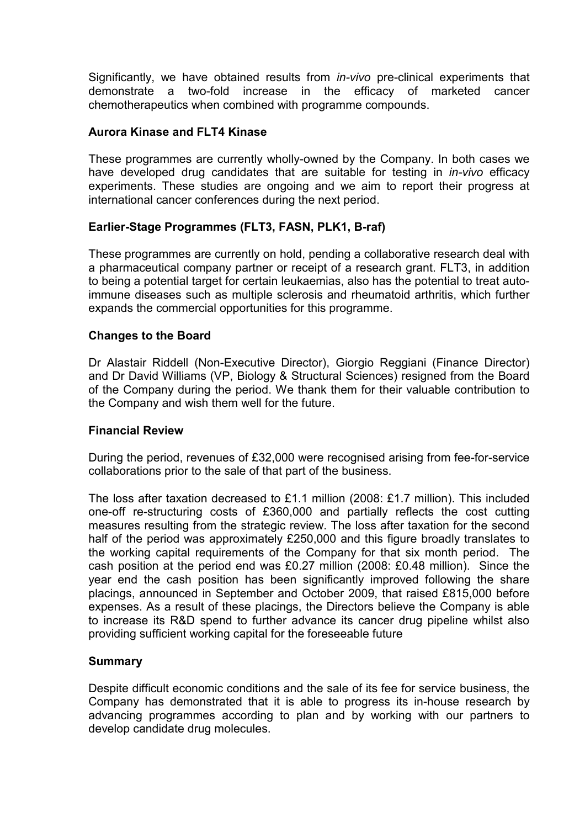Significantly, we have obtained results from in-vivo pre-clinical experiments that demonstrate a two-fold increase in the efficacy of marketed cancer chemotherapeutics when combined with programme compounds.

#### Aurora Kinase and FLT4 Kinase

These programmes are currently wholly-owned by the Company. In both cases we have developed drug candidates that are suitable for testing in *in-vivo* efficacy experiments. These studies are ongoing and we aim to report their progress at international cancer conferences during the next period.

### Earlier-Stage Programmes (FLT3, FASN, PLK1, B-raf)

These programmes are currently on hold, pending a collaborative research deal with a pharmaceutical company partner or receipt of a research grant. FLT3, in addition to being a potential target for certain leukaemias, also has the potential to treat autoimmune diseases such as multiple sclerosis and rheumatoid arthritis, which further expands the commercial opportunities for this programme.

#### Changes to the Board

Dr Alastair Riddell (Non-Executive Director), Giorgio Reggiani (Finance Director) and Dr David Williams (VP, Biology & Structural Sciences) resigned from the Board of the Company during the period. We thank them for their valuable contribution to the Company and wish them well for the future.

#### Financial Review

During the period, revenues of £32,000 were recognised arising from fee-for-service collaborations prior to the sale of that part of the business.

The loss after taxation decreased to £1.1 million (2008: £1.7 million). This included one-off re-structuring costs of £360,000 and partially reflects the cost cutting measures resulting from the strategic review. The loss after taxation for the second half of the period was approximately £250,000 and this figure broadly translates to the working capital requirements of the Company for that six month period. The cash position at the period end was £0.27 million (2008: £0.48 million). Since the year end the cash position has been significantly improved following the share placings, announced in September and October 2009, that raised £815,000 before expenses. As a result of these placings, the Directors believe the Company is able to increase its R&D spend to further advance its cancer drug pipeline whilst also providing sufficient working capital for the foreseeable future

#### **Summary**

Despite difficult economic conditions and the sale of its fee for service business, the Company has demonstrated that it is able to progress its in-house research by advancing programmes according to plan and by working with our partners to develop candidate drug molecules.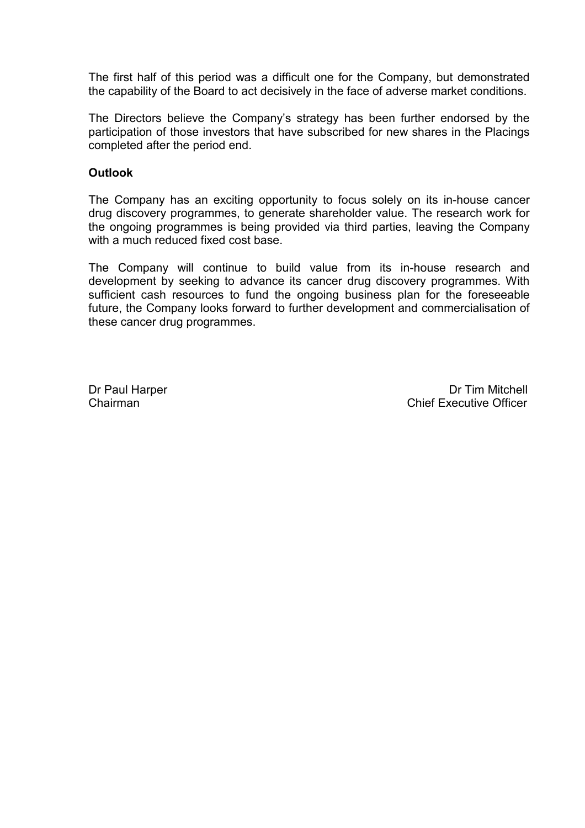The first half of this period was a difficult one for the Company, but demonstrated the capability of the Board to act decisively in the face of adverse market conditions.

The Directors believe the Company's strategy has been further endorsed by the participation of those investors that have subscribed for new shares in the Placings completed after the period end.

#### **Outlook**

The Company has an exciting opportunity to focus solely on its in-house cancer drug discovery programmes, to generate shareholder value. The research work for the ongoing programmes is being provided via third parties, leaving the Company with a much reduced fixed cost base.

The Company will continue to build value from its in-house research and development by seeking to advance its cancer drug discovery programmes. With sufficient cash resources to fund the ongoing business plan for the foreseeable future, the Company looks forward to further development and commercialisation of these cancer drug programmes.

Dr Paul Harper Dr Tim Mitchell Chairman Chief Executive Officer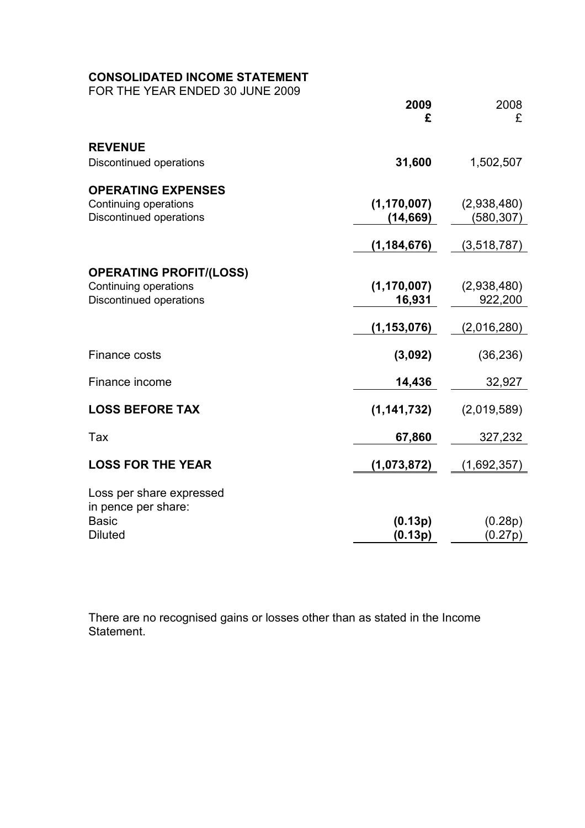# CONSOLIDATED INCOME STATEMENT

FOR THE YEAR ENDED 30 JUNE 2009

|                                                                                           | 2009<br>£                                | 2008<br>£                             |
|-------------------------------------------------------------------------------------------|------------------------------------------|---------------------------------------|
| <b>REVENUE</b><br>Discontinued operations                                                 | 31,600                                   | 1,502,507                             |
| <b>OPERATING EXPENSES</b><br>Continuing operations<br><b>Discontinued operations</b>      | (1, 170, 007)<br>(14, 669)               | (2,938,480)<br>(580, 307)             |
|                                                                                           | (1, 184, 676)                            | (3,518,787)                           |
| <b>OPERATING PROFIT/(LOSS)</b><br>Continuing operations<br><b>Discontinued operations</b> | (1, 170, 007)<br>16,931<br>(1, 153, 076) | (2,938,480)<br>922,200<br>(2,016,280) |
| Finance costs                                                                             | (3,092)                                  | (36, 236)                             |
| Finance income                                                                            | 14,436                                   | 32,927                                |
| <b>LOSS BEFORE TAX</b>                                                                    | (1, 141, 732)                            | (2,019,589)                           |
| Tax                                                                                       | 67,860                                   | 327,232                               |
| <b>LOSS FOR THE YEAR</b>                                                                  | (1,073,872)                              | (1,692,357)                           |
| Loss per share expressed<br>in pence per share:<br><b>Basic</b><br><b>Diluted</b>         | (0.13p)<br>(0.13p)                       | (0.28p)<br>(0.27p)                    |

There are no recognised gains or losses other than as stated in the Income Statement.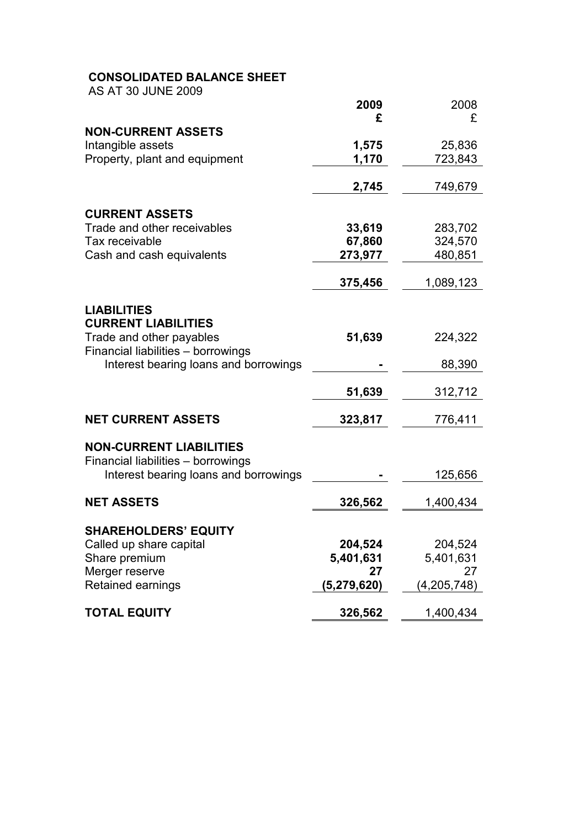# CONSOLIDATED BALANCE SHEET

AS AT 30 JUNE 2009

|                                                                | 2009<br>£   | 2008<br>£   |
|----------------------------------------------------------------|-------------|-------------|
| <b>NON-CURRENT ASSETS</b>                                      |             |             |
| Intangible assets                                              | 1,575       | 25,836      |
| Property, plant and equipment                                  | 1,170       | 723,843     |
|                                                                | 2,745       | 749,679     |
| <b>CURRENT ASSETS</b>                                          |             |             |
| Trade and other receivables                                    | 33,619      | 283,702     |
| Tax receivable                                                 | 67,860      | 324,570     |
| Cash and cash equivalents                                      | 273,977     | 480,851     |
|                                                                | 375,456     | 1,089,123   |
| <b>LIABILITIES</b>                                             |             |             |
| <b>CURRENT LIABILITIES</b>                                     |             |             |
| Trade and other payables<br>Financial liabilities - borrowings | 51,639      | 224,322     |
| Interest bearing loans and borrowings                          |             | 88,390      |
|                                                                | 51,639      | 312,712     |
| <b>NET CURRENT ASSETS</b>                                      | 323,817     | 776,411     |
| <b>NON-CURRENT LIABILITIES</b>                                 |             |             |
| Financial liabilities - borrowings                             |             |             |
| Interest bearing loans and borrowings                          |             | 125,656     |
| <b>NET ASSETS</b>                                              | 326,562     | 1,400,434   |
| <b>SHAREHOLDERS' EQUITY</b>                                    |             |             |
| Called up share capital                                        | 204,524     | 204,524     |
| Share premium                                                  | 5,401,631   | 5,401,631   |
| Merger reserve                                                 | 27          | 27          |
| Retained earnings                                              | (5,279,620) | (4,205,748) |
| <b>TOTAL EQUITY</b>                                            | 326,562     | 1,400,434   |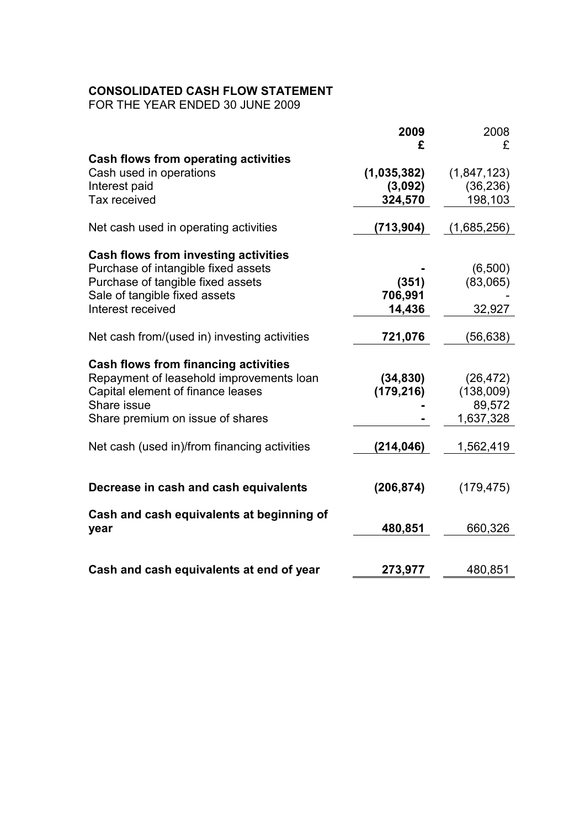# CONSOLIDATED CASH FLOW STATEMENT

FOR THE YEAR ENDED 30 JUNE 2009

|                                                                                         | 2009                    | 2008                   |
|-----------------------------------------------------------------------------------------|-------------------------|------------------------|
| <b>Cash flows from operating activities</b><br>Cash used in operations                  | £<br>(1,035,382)        | £<br>(1,847,123)       |
| Interest paid<br>Tax received                                                           | (3,092)<br>324,570      | (36, 236)<br>198,103   |
| Net cash used in operating activities                                                   | (713, 904)              | (1,685,256)            |
|                                                                                         |                         |                        |
| <b>Cash flows from investing activities</b><br>Purchase of intangible fixed assets      |                         | (6,500)                |
| Purchase of tangible fixed assets<br>Sale of tangible fixed assets<br>Interest received | (351)<br>706,991        | (83,065)               |
|                                                                                         | 14,436                  | 32,927                 |
| Net cash from/(used in) investing activities                                            | 721,076                 | (56,638)               |
| <b>Cash flows from financing activities</b>                                             |                         |                        |
| Repayment of leasehold improvements loan<br>Capital element of finance leases           | (34, 830)<br>(179, 216) | (26, 472)<br>(138,009) |
| Share issue<br>Share premium on issue of shares                                         |                         | 89,572<br>1,637,328    |
| Net cash (used in)/from financing activities                                            | (214,046)               | 1,562,419              |
| Decrease in cash and cash equivalents                                                   | (206, 874)              | (179, 475)             |
| Cash and cash equivalents at beginning of<br>year                                       | 480,851                 | 660,326                |
|                                                                                         |                         |                        |
| Cash and cash equivalents at end of year                                                | 273,977                 | 480,851                |